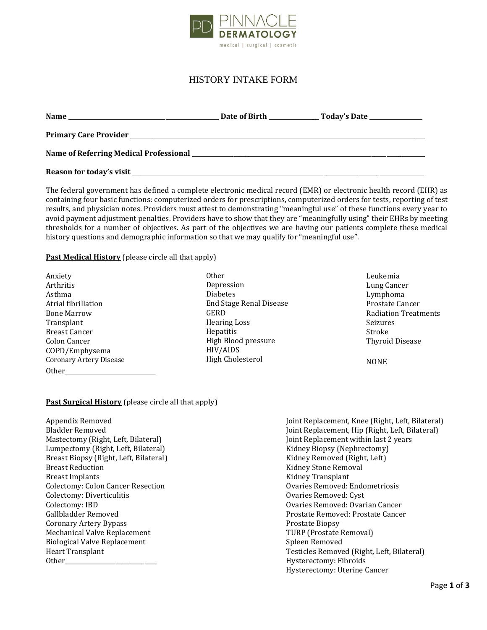

## HISTORY INTAKE FORM

| <b>Name</b> | Date of Birth | Today's Date _____________ |
|-------------|---------------|----------------------------|
|             |               |                            |
|             |               |                            |
|             |               |                            |

The federal government has defined a complete electronic medical record (EMR) or electronic health record (EHR) as containing four basic functions: computerized orders for prescriptions, computerized orders for tests, reporting of test results, and physician notes. Providers must attest to demonstrating "meaningful use" of these functions every year to avoid payment adjustment penalties. Providers have to show that they are "meaningfully using" their EHRs by meeting thresholds for a number of objectives. As part of the objectives we are having our patients complete these medical history questions and demographic information so that we may qualify for "meaningful use".

## **Past Medical History** (please circle all that apply)

| Anxiety                        |
|--------------------------------|
| Arthritis                      |
| Asthma                         |
| Atrial fibrillation            |
| <b>Bone Marrow</b>             |
| Transplant                     |
| <b>Breast Cancer</b>           |
| Colon Cancer                   |
| COPD/Emphysema                 |
| <b>Coronary Artery Disease</b> |
| Other                          |

Other Depression Diabetes End Stage Renal Disease GERD Hearing Loss Hepatitis High Blood pressure HIV/AIDS High Cholesterol

Leukemia Lung Cancer Lymphoma Prostate Cancer Radiation Treatments Seizures Stroke Thyroid Disease

NONE

## **Past Surgical History** (please circle all that apply)

Appendix Removed Bladder Removed Mastectomy (Right, Left, Bilateral) Lumpectomy (Right, Left, Bilateral) Breast Biopsy (Right, Left, Bilateral) Breast Reduction Breast Implants Colectomy: Colon Cancer Resection Colectomy: Diverticulitis Colectomy: IBD Gallbladder Removed Coronary Artery Bypass Mechanical Valve Replacement Biological Valve Replacement Heart Transplant Other

Joint Replacement, Knee (Right, Left, Bilateral) Joint Replacement, Hip (Right, Left, Bilateral) Joint Replacement within last 2 years Kidney Biopsy (Nephrectomy) Kidney Removed (Right, Left) Kidney Stone Removal Kidney Transplant Ovaries Removed: Endometriosis Ovaries Removed: Cyst Ovaries Removed: Ovarian Cancer Prostate Removed: Prostate Cancer Prostate Biopsy TURP (Prostate Removal) Spleen Removed Testicles Removed (Right, Left, Bilateral) Hysterectomy: Fibroids Hysterectomy: Uterine Cancer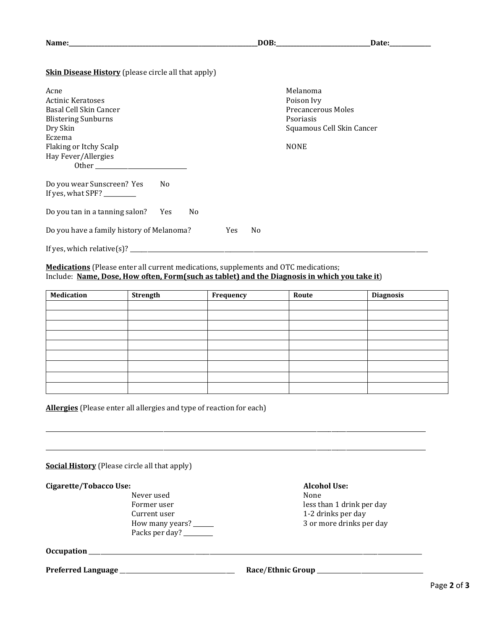| m<br>ы |
|--------|
|--------|

**Name:\_\_\_\_\_\_\_\_\_\_\_\_\_\_\_\_\_\_\_\_\_\_\_\_\_\_\_\_\_\_\_\_\_\_\_\_\_\_\_\_\_\_\_\_\_\_\_\_\_\_\_\_\_\_\_\_\_\_\_\_\_\_\_\_DOB:\_\_\_\_\_\_\_\_\_\_\_\_\_\_\_\_\_\_\_\_\_\_\_\_\_\_\_\_\_\_\_\_Date:\_\_\_\_\_\_\_\_\_\_\_\_\_\_**

**Skin Disease History** (please circle all that apply)

| Acne                                                                                        | Melanoma                  |
|---------------------------------------------------------------------------------------------|---------------------------|
| <b>Actinic Keratoses</b>                                                                    | Poison Ivy                |
| Basal Cell Skin Cancer                                                                      | Precancerous Moles        |
| <b>Blistering Sunburns</b>                                                                  | Psoriasis                 |
| Dry Skin                                                                                    | Squamous Cell Skin Cancer |
| Eczema                                                                                      |                           |
| Flaking or Itchy Scalp                                                                      | <b>NONE</b>               |
| Hay Fever/Allergies                                                                         |                           |
| Other                                                                                       |                           |
| Do you wear Sunscreen? Yes<br>No.<br>If yes, what SPF? $\_\_\_\_\_\_\_\_\_\_\_\_\_\_\_\_\_$ |                           |
| Do you tan in a tanning salon?<br>Yes<br>N <sub>0</sub>                                     |                           |
| Do you have a family history of Melanoma?                                                   | Yes<br>No                 |
| If yes, which relative(s)?                                                                  |                           |

**Medications** (Please enter all current medications, supplements and OTC medications; Include: **Name, Dose, How often, Form(such as tablet) and the Diagnosis in which you take it**)

| <b>Medication</b> | Strength | Frequency | Route | <b>Diagnosis</b> |
|-------------------|----------|-----------|-------|------------------|
|                   |          |           |       |                  |
|                   |          |           |       |                  |
|                   |          |           |       |                  |
|                   |          |           |       |                  |
|                   |          |           |       |                  |
|                   |          |           |       |                  |
|                   |          |           |       |                  |
|                   |          |           |       |                  |
|                   |          |           |       |                  |

\_\_\_\_\_\_\_\_\_\_\_\_\_\_\_\_\_\_\_\_\_\_\_\_\_\_\_\_\_\_\_\_\_\_\_\_\_\_\_\_\_\_\_\_\_\_\_\_\_\_\_\_\_\_\_\_\_\_\_\_\_\_\_\_\_\_\_\_\_\_\_\_\_\_\_\_\_\_\_\_\_\_\_\_\_\_\_\_\_\_\_\_\_\_\_\_\_\_\_\_\_\_\_\_\_\_\_\_\_\_\_\_\_\_\_\_\_\_\_\_\_\_\_\_\_\_\_\_\_

\_\_\_\_\_\_\_\_\_\_\_\_\_\_\_\_\_\_\_\_\_\_\_\_\_\_\_\_\_\_\_\_\_\_\_\_\_\_\_\_\_\_\_\_\_\_\_\_\_\_\_\_\_\_\_\_\_\_\_\_\_\_\_\_\_\_\_\_\_\_\_\_\_\_\_\_\_\_\_\_\_\_\_\_\_\_\_\_\_\_\_\_\_\_\_\_\_\_\_\_\_\_\_\_\_\_\_\_\_\_\_\_\_\_\_\_\_\_\_\_\_\_\_\_\_\_\_\_\_

**Allergies** (Please enter all allergies and type of reaction for each)

**Social History** (Please circle all that apply)

**Cigarette/Tobacco Use: Alcohol Use:**

Never used None Current user 1-2 drinks per day How many years? \_\_\_\_\_\_\_ 3 or more drinks per day Packs per day? \_\_\_\_\_\_\_\_

Former user less than 1 drink per day

**Occupation** \_\_\_\_\_\_\_\_\_\_\_\_\_\_\_\_\_\_\_\_\_\_\_\_\_\_\_\_\_\_\_\_\_\_\_\_\_\_\_\_\_\_\_\_\_\_\_\_\_\_\_\_\_\_\_\_\_\_\_\_\_\_\_\_\_\_\_\_\_\_\_\_\_\_\_\_\_\_\_\_\_\_\_\_\_\_\_\_\_\_\_\_\_\_\_\_\_\_\_\_\_\_\_\_\_\_\_\_\_\_\_\_\_

## **Preferred Language** \_\_\_\_\_\_\_\_\_\_\_\_\_\_\_\_\_\_\_\_\_\_\_\_\_\_\_\_\_\_\_\_\_\_\_\_\_\_\_ **Race**/**Ethnic Group** \_\_\_\_\_\_\_\_\_\_\_\_\_\_\_\_\_\_\_\_\_\_\_\_\_\_\_\_\_\_\_\_\_\_\_\_